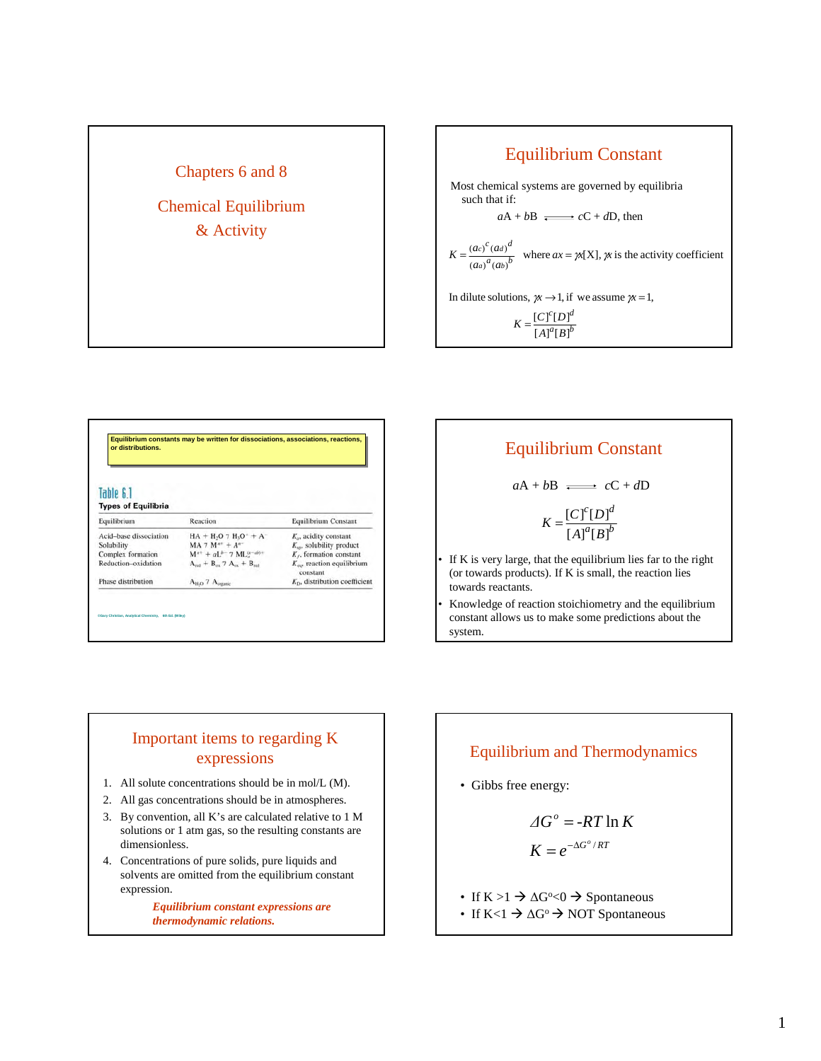

#### Equilibrium Constant Most chemical systems are governed by equilibria such that if:  $aA + bB \nightharpoonup cC + dD$ , then  $a_{\rm{f}}$ <sub> $R$ </sub> $b$  $c_{\text{F}}$ <sub>D1</sub> $d$  $a_{\alpha}$  $b$  $K = \frac{(ac)^{c}(ad)^{d}}{(aa)^{a}(ab)^{b}}$  where  $ax = \gamma x[X], \gamma x$  $K = \frac{[C]^c[D]}{[A]^a[B]}$ In dilute solutions,  $\chi \rightarrow 1$ , if we assume  $\chi = 1$ ,  $\frac{(ac)^{c}(da)^{d}}{(da)^{d}(ab)^{b}}$  where  $ax = \chi[X]$ ,  $\chi$  is the activity coefficient  $=\frac{(ac)^{c}(ad)^{a}}{a-b}$  where  $ax = \gamma x[X], \gamma$

| Table 6.1<br><b>Types of Equilibria</b> |                                                                     |                                               |
|-----------------------------------------|---------------------------------------------------------------------|-----------------------------------------------|
| Equilibrium                             | Reaction                                                            | Equilibrium Constant                          |
| Acid-base dissociation                  | $HA + H2O$ 7 $H3O+ + A-$                                            | $K_{\alpha}$ , acidity constant               |
| Solubility                              | $MA 7 M^{n+} + A^{n-}$                                              | $K_{\text{on}}$ , solubility product          |
| Complex formation                       | $M^{n+} + aL^{b-}$ 7 ML <sup>(n-ab)+</sup>                          | $Kf$ , formation constant                     |
| Reduction-oxidation                     | $A_{\text{red}} + B_{\text{eq}}$ 7 $A_{\text{eq}} + B_{\text{red}}$ | $K_{\infty}$ reaction equilibrium<br>constant |
| Phase distribution                      | AH.O 7 Aceganic                                                     | $K_{D}$ , distribution coefficient            |



## Important items to regarding K expressions

- 1. All solute concentrations should be in mol/L (M).
- 2. All gas concentrations should be in atmospheres.
- 3. By convention, all K's are calculated relative to 1 M solutions or 1 atm gas, so the resulting constants are dimensionless.
- 4. Concentrations of pure solids, pure liquids and solvents are omitted from the equilibrium constant expression.

*Equilibrium constant expressions are thermodynamic relations.*

#### Equilibrium and Thermodynamics

• Gibbs free energy:

$$
\Delta G^{\circ} = -RT \ln K
$$

$$
K = e^{-\Delta G^{\circ}/RT}
$$

- If  $K > 1 \rightarrow \Delta G^{\circ} < 0 \rightarrow$  Spontaneous
- If  $K < 1 \rightarrow \Delta G^{\circ} \rightarrow NOT$  Spontaneous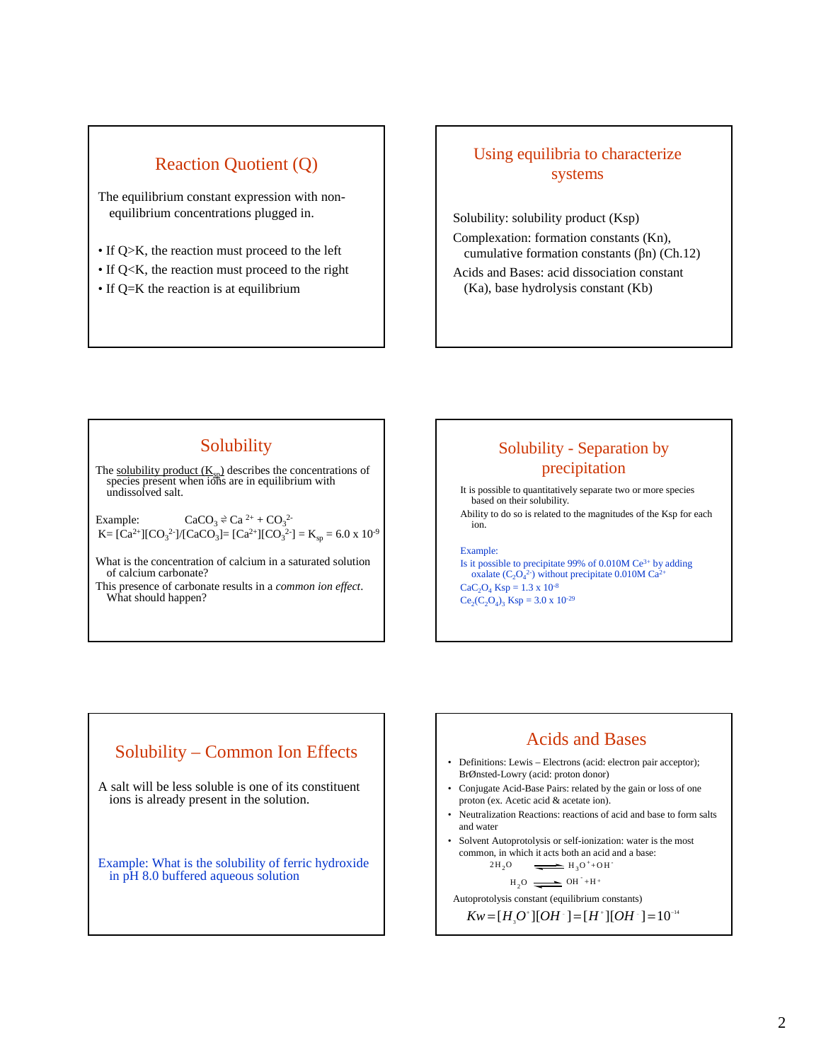#### Reaction Quotient (Q)

The equilibrium constant expression with nonequilibrium concentrations plugged in.

- If Q>K, the reaction must proceed to the left
- If Q<K, the reaction must proceed to the right
- If Q=K the reaction is at equilibrium

#### Using equilibria to characterize systems

Solubility: solubility product (Ksp) Complexation: formation constants (Kn), cumulative formation constants (βn) (Ch.12) Acids and Bases: acid dissociation constant (Ka), base hydrolysis constant (Kb)

#### **Solubility**

The <u>solubility product  $(K_{sp})$ </u> describes the concentrations of species present when ions are in equilibrium with undissolved salt.

Example:  $\text{CaCO}_3 \approx \text{Ca}^2 + \text{CO}_3^2$  $K = [Ca^{2+}][CO_3^2]/[CaCO_3] = [Ca^{2+}][CO_3^2] = K_{sp} = 6.0 \times 10^{-9}$ 

What is the concentration of calcium in a saturated solution of calcium carbonate?

This presence of carbonate results in a *common ion effect*. What should happen?

### Solubility - Separation by precipitation

It is possible to quantitatively separate two or more species based on their solubility. Ability to do so is related to the magnitudes of the Ksp for each

ion.

Example:

Is it possible to precipitate 99% of  $0.010M$  Ce<sup>3+</sup> by adding oxalate  $(C_2O_4^{2})$  without precipitate 0.010M Ca<sup>2+</sup>  $CaC_2O_4$  Ksp = 1.3 x 10<sup>-8</sup>  $Ce_2(C_2O_4)$ <sub>3</sub> Ksp = 3.0 x 10<sup>-29</sup>

# A salt will be less soluble is one of its constituent ions is already present in the solution. Example: What is the solubility of ferric hydroxide in pH 8.0 buffered aqueous solution Solubility – Common Ion Effects Acids and Bases

- Definitions: Lewis Electrons (acid: electron pair acceptor); BrØnsted-Lowry (acid: proton donor)
- Conjugate Acid-Base Pairs: related by the gain or loss of one proton (ex. Acetic acid & acetate ion).
- Neutralization Reactions: reactions of acid and base to form salts and water
- Solvent Autoprotolysis or self-ionization: water is the most common, in which it acts both an acid and a base:  $2H_2O$   $\longrightarrow H_2O^+ + OH^-$

$$
H_2O \qquad \longrightarrow H_3O^+ + O.
$$

 $H_2O \longrightarrow H^+ + H^+$ 

Autoprotolysis constant (equilibrium constants)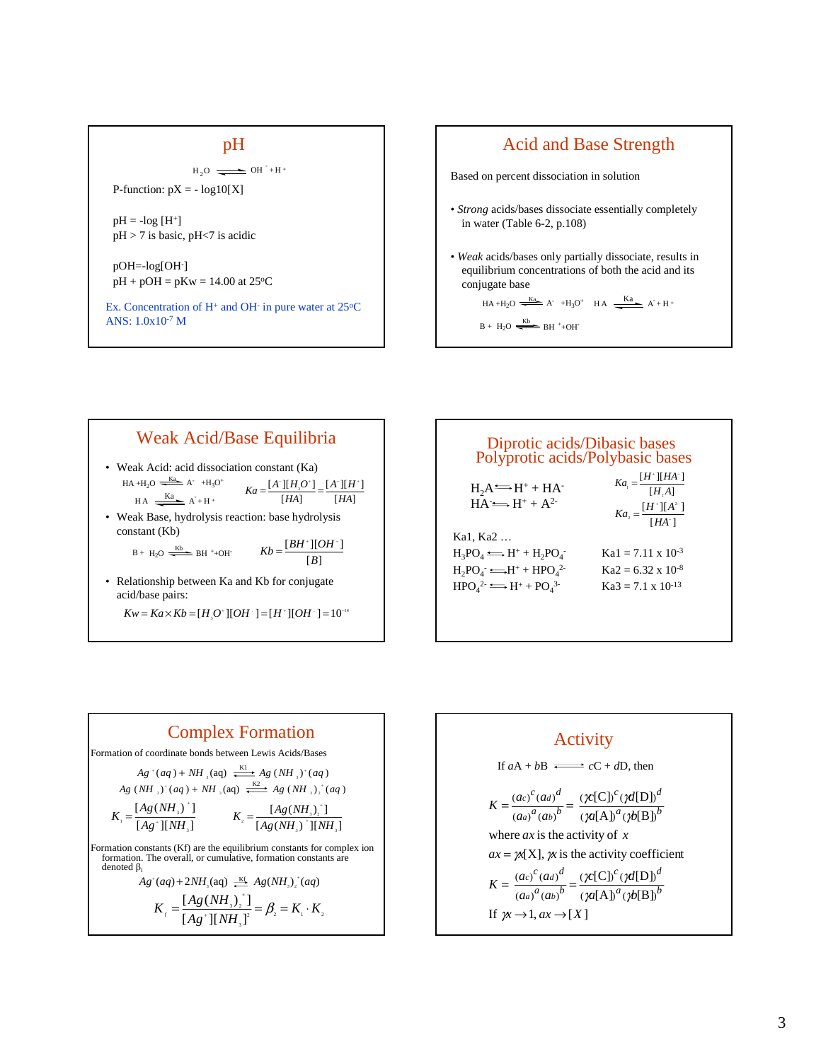#### pH

 $H_2O \longrightarrow OH^- + H^+$ 

P-function:  $pX = -\log 10[X]$ 

 $pH = -log[H^+]$ pH > 7 is basic, pH<7 is acidic

pOH=-log[OH- ]  $pH + pOH = pKw = 14.00$  at 25<sup>o</sup>C

Ex. Concentration of  $H^+$  and OH $\overline{H}$  in pure water at 25 $\overline{C}$ ANS: 1.0x10-7 M



#### Weak Acid/Base Equilibria • Weak Acid: acid dissociation constant (Ka) • Weak Base, hydrolysis reaction: base hydrolysis constant (Kb) • Relationship between Ka and Kb for conjugate acid/base pairs:  $[HA]$  $[A^{\text{-}}][H^{\text{-}}]$  $[HA]$  $[A^{\scriptscriptstyle\top}] [H]_{{}_3} O^{\scriptscriptstyle\top}]$ *HA A H*  $Ka = \frac{[A^{\dagger}][H, O^{\dagger}]}{[HA]} = \frac{[A^{\dagger}][H^{\dagger}]}{[HA]}$  $\rm B +~H_2O~\xrightarrow{\quad\rm Kb}\quad\rm BH~^++OH^ HA + H_2O \xrightarrow{Ka} A^- + H_3O^+$  $HA \xrightarrow{Ka} A+H^+$  $[B]$  $\left[ BH^{\scriptscriptstyle +}\right] [OH^{\scriptscriptstyle -}]$  $\frac{[BH^+][OH^-]}{[B]}$  $Kw = Ka \times Kb = [H<sub>3</sub>O<sup>+</sup>][OH<sup>-</sup>] = [H<sup>+</sup>][OH<sup>-</sup>] = 10<sup>-14</sup>$

| Diprotic acids/Dibasic bases<br>Polyprotic acids/Polybasic bases      |                                                                                            |  |
|-----------------------------------------------------------------------|--------------------------------------------------------------------------------------------|--|
| $H_2A \rightarrow H^+ + HA^-$<br>$HA \rightleftharpoons H^+ + A^{2-}$ | $Ka_{i} = \frac{[H^{+}][HA^{-}]}{[H_{2}A]}$<br>$Ka_{2} = \frac{[H^{+}][A^{2-}]}{[HA^{-}]}$ |  |
| Ka1, Ka2                                                              |                                                                                            |  |
| $H_3PO_4 \Longrightarrow H^+ + H_2PO_4$                               | $Ka1 = 7.11 \times 10^{-3}$                                                                |  |
| $H_2PO_4 \longrightarrow H^+ + HPO_4^2$                               | $Ka2 = 6.32 \times 10^{-8}$                                                                |  |
| $HPOA2 \Longrightarrow H+ + POA3$                                     | $Ka3 = 7.1 \times 10^{-13}$                                                                |  |
|                                                                       |                                                                                            |  |